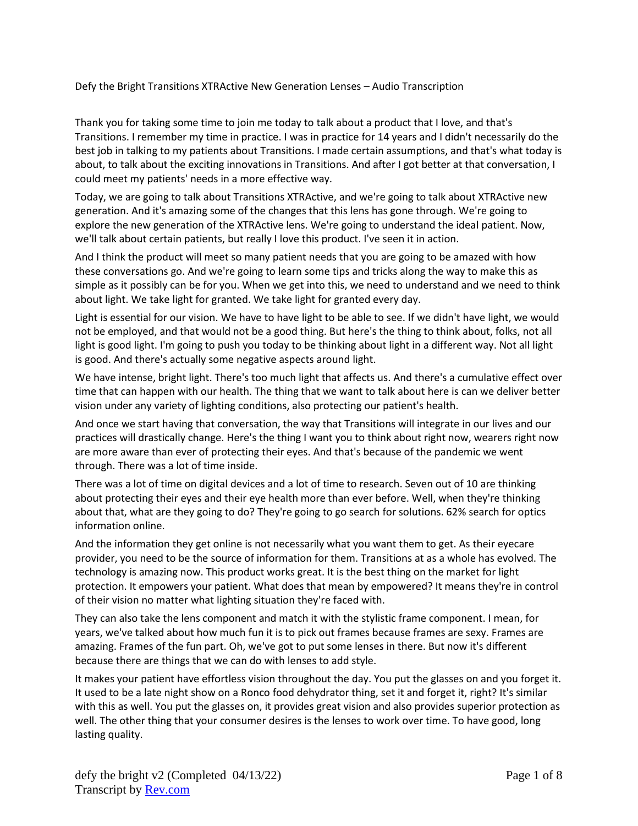Defy the Bright Transitions XTRActive New Generation Lenses – Audio Transcription

Thank you for taking some time to join me today to talk about a product that I love, and that's Transitions. I remember my time in practice. I was in practice for 14 years and I didn't necessarily do the best job in talking to my patients about Transitions. I made certain assumptions, and that's what today is about, to talk about the exciting innovations in Transitions. And after I got better at that conversation, I could meet my patients' needs in a more effective way.

Today, we are going to talk about Transitions XTRActive, and we're going to talk about XTRActive new generation. And it's amazing some of the changes that this lens has gone through. We're going to explore the new generation of the XTRActive lens. We're going to understand the ideal patient. Now, we'll talk about certain patients, but really I love this product. I've seen it in action.

And I think the product will meet so many patient needs that you are going to be amazed with how these conversations go. And we're going to learn some tips and tricks along the way to make this as simple as it possibly can be for you. When we get into this, we need to understand and we need to think about light. We take light for granted. We take light for granted every day.

Light is essential for our vision. We have to have light to be able to see. If we didn't have light, we would not be employed, and that would not be a good thing. But here's the thing to think about, folks, not all light is good light. I'm going to push you today to be thinking about light in a different way. Not all light is good. And there's actually some negative aspects around light.

We have intense, bright light. There's too much light that affects us. And there's a cumulative effect over time that can happen with our health. The thing that we want to talk about here is can we deliver better vision under any variety of lighting conditions, also protecting our patient's health.

And once we start having that conversation, the way that Transitions will integrate in our lives and our practices will drastically change. Here's the thing I want you to think about right now, wearers right now are more aware than ever of protecting their eyes. And that's because of the pandemic we went through. There was a lot of time inside.

There was a lot of time on digital devices and a lot of time to research. Seven out of 10 are thinking about protecting their eyes and their eye health more than ever before. Well, when they're thinking about that, what are they going to do? They're going to go search for solutions. 62% search for optics information online.

And the information they get online is not necessarily what you want them to get. As their eyecare provider, you need to be the source of information for them. Transitions at as a whole has evolved. The technology is amazing now. This product works great. It is the best thing on the market for light protection. It empowers your patient. What does that mean by empowered? It means they're in control of their vision no matter what lighting situation they're faced with.

They can also take the lens component and match it with the stylistic frame component. I mean, for years, we've talked about how much fun it is to pick out frames because frames are sexy. Frames are amazing. Frames of the fun part. Oh, we've got to put some lenses in there. But now it's different because there are things that we can do with lenses to add style.

It makes your patient have effortless vision throughout the day. You put the glasses on and you forget it. It used to be a late night show on a Ronco food dehydrator thing, set it and forget it, right? It's similar with this as well. You put the glasses on, it provides great vision and also provides superior protection as well. The other thing that your consumer desires is the lenses to work over time. To have good, long lasting quality.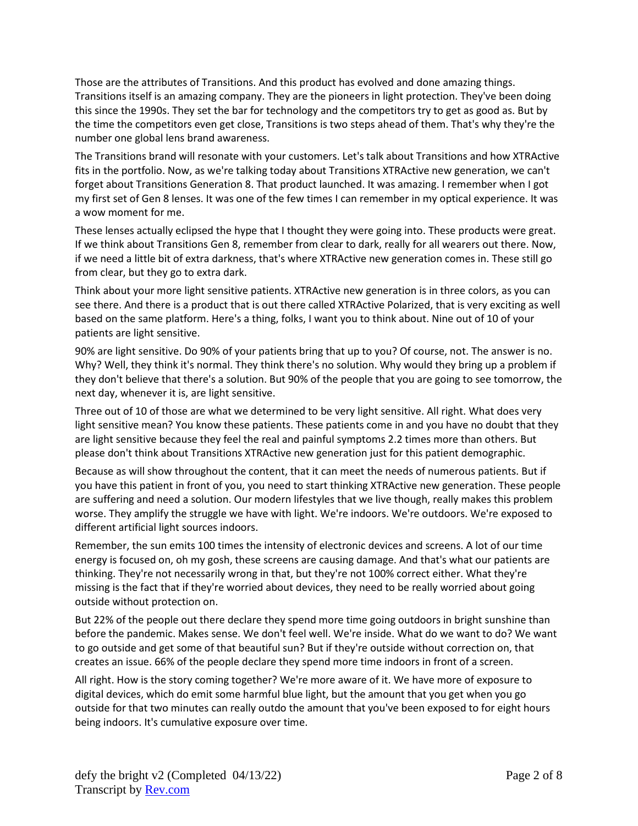Those are the attributes of Transitions. And this product has evolved and done amazing things. Transitions itself is an amazing company. They are the pioneers in light protection. They've been doing this since the 1990s. They set the bar for technology and the competitors try to get as good as. But by the time the competitors even get close, Transitions is two steps ahead of them. That's why they're the number one global lens brand awareness.

The Transitions brand will resonate with your customers. Let's talk about Transitions and how XTRActive fits in the portfolio. Now, as we're talking today about Transitions XTRActive new generation, we can't forget about Transitions Generation 8. That product launched. It was amazing. I remember when I got my first set of Gen 8 lenses. It was one of the few times I can remember in my optical experience. It was a wow moment for me.

These lenses actually eclipsed the hype that I thought they were going into. These products were great. If we think about Transitions Gen 8, remember from clear to dark, really for all wearers out there. Now, if we need a little bit of extra darkness, that's where XTRActive new generation comes in. These still go from clear, but they go to extra dark.

Think about your more light sensitive patients. XTRActive new generation is in three colors, as you can see there. And there is a product that is out there called XTRActive Polarized, that is very exciting as well based on the same platform. Here's a thing, folks, I want you to think about. Nine out of 10 of your patients are light sensitive.

90% are light sensitive. Do 90% of your patients bring that up to you? Of course, not. The answer is no. Why? Well, they think it's normal. They think there's no solution. Why would they bring up a problem if they don't believe that there's a solution. But 90% of the people that you are going to see tomorrow, the next day, whenever it is, are light sensitive.

Three out of 10 of those are what we determined to be very light sensitive. All right. What does very light sensitive mean? You know these patients. These patients come in and you have no doubt that they are light sensitive because they feel the real and painful symptoms 2.2 times more than others. But please don't think about Transitions XTRActive new generation just for this patient demographic.

Because as will show throughout the content, that it can meet the needs of numerous patients. But if you have this patient in front of you, you need to start thinking XTRActive new generation. These people are suffering and need a solution. Our modern lifestyles that we live though, really makes this problem worse. They amplify the struggle we have with light. We're indoors. We're outdoors. We're exposed to different artificial light sources indoors.

Remember, the sun emits 100 times the intensity of electronic devices and screens. A lot of our time energy is focused on, oh my gosh, these screens are causing damage. And that's what our patients are thinking. They're not necessarily wrong in that, but they're not 100% correct either. What they're missing is the fact that if they're worried about devices, they need to be really worried about going outside without protection on.

But 22% of the people out there declare they spend more time going outdoors in bright sunshine than before the pandemic. Makes sense. We don't feel well. We're inside. What do we want to do? We want to go outside and get some of that beautiful sun? But if they're outside without correction on, that creates an issue. 66% of the people declare they spend more time indoors in front of a screen.

All right. How is the story coming together? We're more aware of it. We have more of exposure to digital devices, which do emit some harmful blue light, but the amount that you get when you go outside for that two minutes can really outdo the amount that you've been exposed to for eight hours being indoors. It's cumulative exposure over time.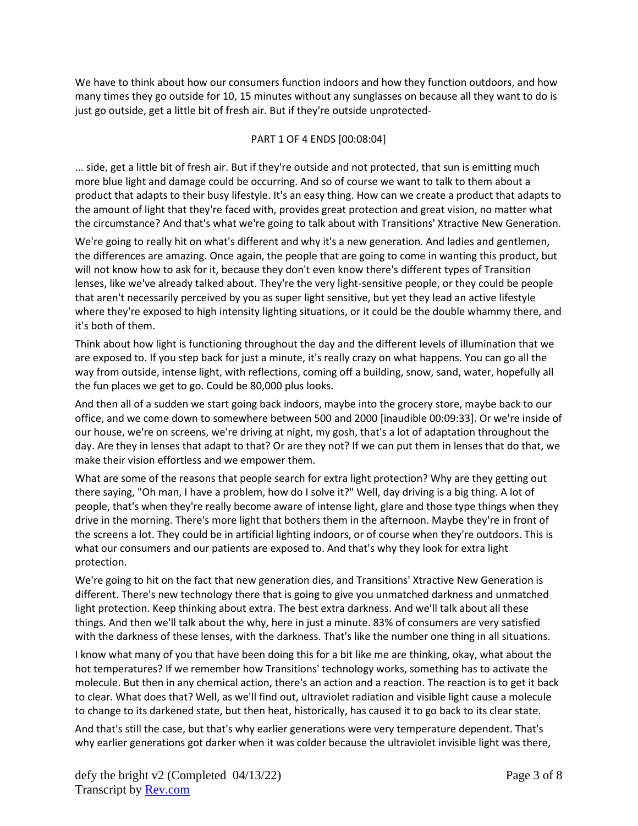We have to think about how our consumers function indoors and how they function outdoors, and how many times they go outside for 10, 15 minutes without any sunglasses on because all they want to do is just go outside, get a little bit of fresh air. But if they're outside unprotected-

## PART 1 OF 4 ENDS [00:08:04]

... side, get a little bit of fresh air. But if they're outside and not protected, that sun is emitting much more blue light and damage could be occurring. And so of course we want to talk to them about a product that adapts to their busy lifestyle. It's an easy thing. How can we create a product that adapts to the amount of light that they're faced with, provides great protection and great vision, no matter what the circumstance? And that's what we're going to talk about with Transitions' Xtractive New Generation.

We're going to really hit on what's different and why it's a new generation. And ladies and gentlemen, the differences are amazing. Once again, the people that are going to come in wanting this product, but will not know how to ask for it, because they don't even know there's different types of Transition lenses, like we've already talked about. They're the very light-sensitive people, or they could be people that aren't necessarily perceived by you as super light sensitive, but yet they lead an active lifestyle where they're exposed to high intensity lighting situations, or it could be the double whammy there, and it's both of them.

Think about how light is functioning throughout the day and the different levels of illumination that we are exposed to. If you step back for just a minute, it's really crazy on what happens. You can go all the way from outside, intense light, with reflections, coming off a building, snow, sand, water, hopefully all the fun places we get to go. Could be 80,000 plus looks.

And then all of a sudden we start going back indoors, maybe into the grocery store, maybe back to our office, and we come down to somewhere between 500 and 2000 [inaudible 00:09:33]. Or we're inside of our house, we're on screens, we're driving at night, my gosh, that's a lot of adaptation throughout the day. Are they in lenses that adapt to that? Or are they not? If we can put them in lenses that do that, we make their vision effortless and we empower them.

What are some of the reasons that people search for extra light protection? Why are they getting out there saying, "Oh man, I have a problem, how do I solve it?" Well, day driving is a big thing. A lot of people, that's when they're really become aware of intense light, glare and those type things when they drive in the morning. There's more light that bothers them in the afternoon. Maybe they're in front of the screens a lot. They could be in artificial lighting indoors, or of course when they're outdoors. This is what our consumers and our patients are exposed to. And that's why they look for extra light protection.

We're going to hit on the fact that new generation dies, and Transitions' Xtractive New Generation is different. There's new technology there that is going to give you unmatched darkness and unmatched light protection. Keep thinking about extra. The best extra darkness. And we'll talk about all these things. And then we'll talk about the why, here in just a minute. 83% of consumers are very satisfied with the darkness of these lenses, with the darkness. That's like the number one thing in all situations.

I know what many of you that have been doing this for a bit like me are thinking, okay, what about the hot temperatures? If we remember how Transitions' technology works, something has to activate the molecule. But then in any chemical action, there's an action and a reaction. The reaction is to get it back to clear. What does that? Well, as we'll find out, ultraviolet radiation and visible light cause a molecule to change to its darkened state, but then heat, historically, has caused it to go back to its clear state.

And that's still the case, but that's why earlier generations were very temperature dependent. That's why earlier generations got darker when it was colder because the ultraviolet invisible light was there,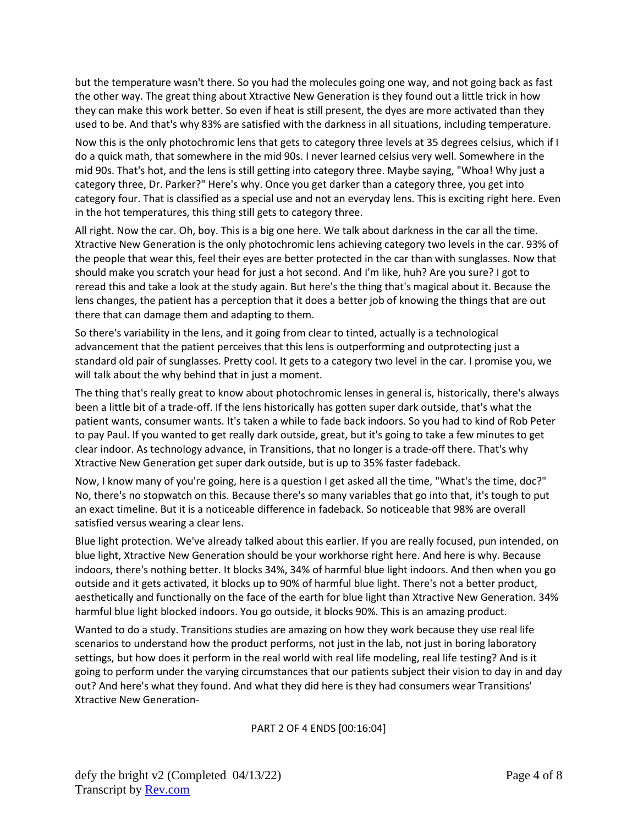but the temperature wasn't there. So you had the molecules going one way, and not going back as fast the other way. The great thing about Xtractive New Generation is they found out a little trick in how they can make this work better. So even if heat is still present, the dyes are more activated than they used to be. And that's why 83% are satisfied with the darkness in all situations, including temperature.

Now this is the only photochromic lens that gets to category three levels at 35 degrees celsius, which if I do a quick math, that somewhere in the mid 90s. I never learned celsius very well. Somewhere in the mid 90s. That's hot, and the lens is still getting into category three. Maybe saying, "Whoa! Why just a category three, Dr. Parker?" Here's why. Once you get darker than a category three, you get into category four. That is classified as a special use and not an everyday lens. This is exciting right here. Even in the hot temperatures, this thing still gets to category three.

All right. Now the car. Oh, boy. This is a big one here. We talk about darkness in the car all the time. Xtractive New Generation is the only photochromic lens achieving category two levels in the car. 93% of the people that wear this, feel their eyes are better protected in the car than with sunglasses. Now that should make you scratch your head for just a hot second. And I'm like, huh? Are you sure? I got to reread this and take a look at the study again. But here's the thing that's magical about it. Because the lens changes, the patient has a perception that it does a better job of knowing the things that are out there that can damage them and adapting to them.

So there's variability in the lens, and it going from clear to tinted, actually is a technological advancement that the patient perceives that this lens is outperforming and outprotecting just a standard old pair of sunglasses. Pretty cool. It gets to a category two level in the car. I promise you, we will talk about the why behind that in just a moment.

The thing that's really great to know about photochromic lenses in general is, historically, there's always been a little bit of a trade-off. If the lens historically has gotten super dark outside, that's what the patient wants, consumer wants. It's taken a while to fade back indoors. So you had to kind of Rob Peter to pay Paul. If you wanted to get really dark outside, great, but it's going to take a few minutes to get clear indoor. As technology advance, in Transitions, that no longer is a trade-off there. That's why Xtractive New Generation get super dark outside, but is up to 35% faster fadeback.

Now, I know many of you're going, here is a question I get asked all the time, "What's the time, doc?" No, there's no stopwatch on this. Because there's so many variables that go into that, it's tough to put an exact timeline. But it is a noticeable difference in fadeback. So noticeable that 98% are overall satisfied versus wearing a clear lens.

Blue light protection. We've already talked about this earlier. If you are really focused, pun intended, on blue light, Xtractive New Generation should be your workhorse right here. And here is why. Because indoors, there's nothing better. It blocks 34%, 34% of harmful blue light indoors. And then when you go outside and it gets activated, it blocks up to 90% of harmful blue light. There's not a better product, aesthetically and functionally on the face of the earth for blue light than Xtractive New Generation. 34% harmful blue light blocked indoors. You go outside, it blocks 90%. This is an amazing product.

Wanted to do a study. Transitions studies are amazing on how they work because they use real life scenarios to understand how the product performs, not just in the lab, not just in boring laboratory settings, but how does it perform in the real world with real life modeling, real life testing? And is it going to perform under the varying circumstances that our patients subject their vision to day in and day out? And here's what they found. And what they did here is they had consumers wear Transitions' Xtractive New Generation-

PART 2 OF 4 ENDS [00:16:04]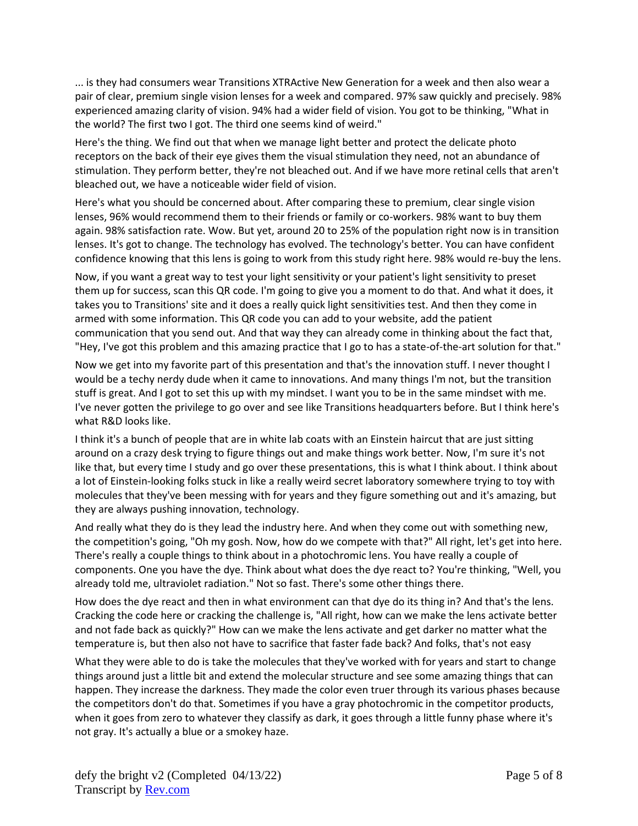... is they had consumers wear Transitions XTRActive New Generation for a week and then also wear a pair of clear, premium single vision lenses for a week and compared. 97% saw quickly and precisely. 98% experienced amazing clarity of vision. 94% had a wider field of vision. You got to be thinking, "What in the world? The first two I got. The third one seems kind of weird."

Here's the thing. We find out that when we manage light better and protect the delicate photo receptors on the back of their eye gives them the visual stimulation they need, not an abundance of stimulation. They perform better, they're not bleached out. And if we have more retinal cells that aren't bleached out, we have a noticeable wider field of vision.

Here's what you should be concerned about. After comparing these to premium, clear single vision lenses, 96% would recommend them to their friends or family or co-workers. 98% want to buy them again. 98% satisfaction rate. Wow. But yet, around 20 to 25% of the population right now is in transition lenses. It's got to change. The technology has evolved. The technology's better. You can have confident confidence knowing that this lens is going to work from this study right here. 98% would re-buy the lens.

Now, if you want a great way to test your light sensitivity or your patient's light sensitivity to preset them up for success, scan this QR code. I'm going to give you a moment to do that. And what it does, it takes you to Transitions' site and it does a really quick light sensitivities test. And then they come in armed with some information. This QR code you can add to your website, add the patient communication that you send out. And that way they can already come in thinking about the fact that, "Hey, I've got this problem and this amazing practice that I go to has a state-of-the-art solution for that."

Now we get into my favorite part of this presentation and that's the innovation stuff. I never thought I would be a techy nerdy dude when it came to innovations. And many things I'm not, but the transition stuff is great. And I got to set this up with my mindset. I want you to be in the same mindset with me. I've never gotten the privilege to go over and see like Transitions headquarters before. But I think here's what R&D looks like.

I think it's a bunch of people that are in white lab coats with an Einstein haircut that are just sitting around on a crazy desk trying to figure things out and make things work better. Now, I'm sure it's not like that, but every time I study and go over these presentations, this is what I think about. I think about a lot of Einstein-looking folks stuck in like a really weird secret laboratory somewhere trying to toy with molecules that they've been messing with for years and they figure something out and it's amazing, but they are always pushing innovation, technology.

And really what they do is they lead the industry here. And when they come out with something new, the competition's going, "Oh my gosh. Now, how do we compete with that?" All right, let's get into here. There's really a couple things to think about in a photochromic lens. You have really a couple of components. One you have the dye. Think about what does the dye react to? You're thinking, "Well, you already told me, ultraviolet radiation." Not so fast. There's some other things there.

How does the dye react and then in what environment can that dye do its thing in? And that's the lens. Cracking the code here or cracking the challenge is, "All right, how can we make the lens activate better and not fade back as quickly?" How can we make the lens activate and get darker no matter what the temperature is, but then also not have to sacrifice that faster fade back? And folks, that's not easy

What they were able to do is take the molecules that they've worked with for years and start to change things around just a little bit and extend the molecular structure and see some amazing things that can happen. They increase the darkness. They made the color even truer through its various phases because the competitors don't do that. Sometimes if you have a gray photochromic in the competitor products, when it goes from zero to whatever they classify as dark, it goes through a little funny phase where it's not gray. It's actually a blue or a smokey haze.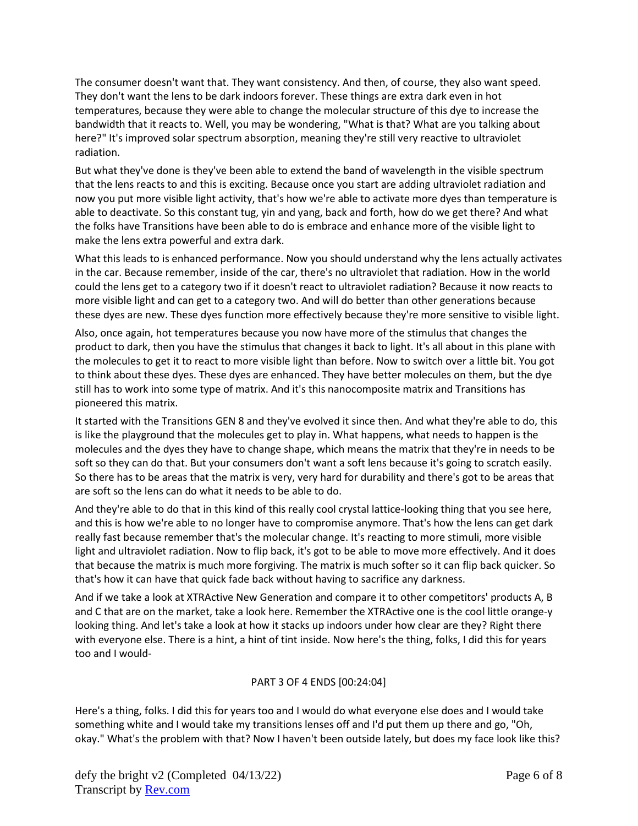The consumer doesn't want that. They want consistency. And then, of course, they also want speed. They don't want the lens to be dark indoors forever. These things are extra dark even in hot temperatures, because they were able to change the molecular structure of this dye to increase the bandwidth that it reacts to. Well, you may be wondering, "What is that? What are you talking about here?" It's improved solar spectrum absorption, meaning they're still very reactive to ultraviolet radiation.

But what they've done is they've been able to extend the band of wavelength in the visible spectrum that the lens reacts to and this is exciting. Because once you start are adding ultraviolet radiation and now you put more visible light activity, that's how we're able to activate more dyes than temperature is able to deactivate. So this constant tug, yin and yang, back and forth, how do we get there? And what the folks have Transitions have been able to do is embrace and enhance more of the visible light to make the lens extra powerful and extra dark.

What this leads to is enhanced performance. Now you should understand why the lens actually activates in the car. Because remember, inside of the car, there's no ultraviolet that radiation. How in the world could the lens get to a category two if it doesn't react to ultraviolet radiation? Because it now reacts to more visible light and can get to a category two. And will do better than other generations because these dyes are new. These dyes function more effectively because they're more sensitive to visible light.

Also, once again, hot temperatures because you now have more of the stimulus that changes the product to dark, then you have the stimulus that changes it back to light. It's all about in this plane with the molecules to get it to react to more visible light than before. Now to switch over a little bit. You got to think about these dyes. These dyes are enhanced. They have better molecules on them, but the dye still has to work into some type of matrix. And it's this nanocomposite matrix and Transitions has pioneered this matrix.

It started with the Transitions GEN 8 and they've evolved it since then. And what they're able to do, this is like the playground that the molecules get to play in. What happens, what needs to happen is the molecules and the dyes they have to change shape, which means the matrix that they're in needs to be soft so they can do that. But your consumers don't want a soft lens because it's going to scratch easily. So there has to be areas that the matrix is very, very hard for durability and there's got to be areas that are soft so the lens can do what it needs to be able to do.

And they're able to do that in this kind of this really cool crystal lattice-looking thing that you see here, and this is how we're able to no longer have to compromise anymore. That's how the lens can get dark really fast because remember that's the molecular change. It's reacting to more stimuli, more visible light and ultraviolet radiation. Now to flip back, it's got to be able to move more effectively. And it does that because the matrix is much more forgiving. The matrix is much softer so it can flip back quicker. So that's how it can have that quick fade back without having to sacrifice any darkness.

And if we take a look at XTRActive New Generation and compare it to other competitors' products A, B and C that are on the market, take a look here. Remember the XTRActive one is the cool little orange-y looking thing. And let's take a look at how it stacks up indoors under how clear are they? Right there with everyone else. There is a hint, a hint of tint inside. Now here's the thing, folks, I did this for years too and I would-

## PART 3 OF 4 ENDS [00:24:04]

Here's a thing, folks. I did this for years too and I would do what everyone else does and I would take something white and I would take my transitions lenses off and I'd put them up there and go, "Oh, okay." What's the problem with that? Now I haven't been outside lately, but does my face look like this?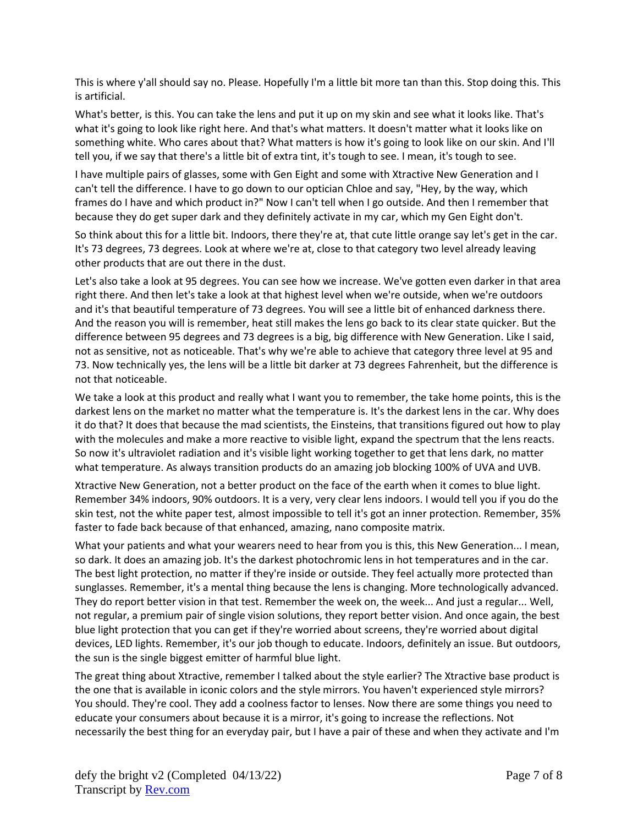This is where y'all should say no. Please. Hopefully I'm a little bit more tan than this. Stop doing this. This is artificial.

What's better, is this. You can take the lens and put it up on my skin and see what it looks like. That's what it's going to look like right here. And that's what matters. It doesn't matter what it looks like on something white. Who cares about that? What matters is how it's going to look like on our skin. And I'll tell you, if we say that there's a little bit of extra tint, it's tough to see. I mean, it's tough to see.

I have multiple pairs of glasses, some with Gen Eight and some with Xtractive New Generation and I can't tell the difference. I have to go down to our optician Chloe and say, "Hey, by the way, which frames do I have and which product in?" Now I can't tell when I go outside. And then I remember that because they do get super dark and they definitely activate in my car, which my Gen Eight don't.

So think about this for a little bit. Indoors, there they're at, that cute little orange say let's get in the car. It's 73 degrees, 73 degrees. Look at where we're at, close to that category two level already leaving other products that are out there in the dust.

Let's also take a look at 95 degrees. You can see how we increase. We've gotten even darker in that area right there. And then let's take a look at that highest level when we're outside, when we're outdoors and it's that beautiful temperature of 73 degrees. You will see a little bit of enhanced darkness there. And the reason you will is remember, heat still makes the lens go back to its clear state quicker. But the difference between 95 degrees and 73 degrees is a big, big difference with New Generation. Like I said, not as sensitive, not as noticeable. That's why we're able to achieve that category three level at 95 and 73. Now technically yes, the lens will be a little bit darker at 73 degrees Fahrenheit, but the difference is not that noticeable.

We take a look at this product and really what I want you to remember, the take home points, this is the darkest lens on the market no matter what the temperature is. It's the darkest lens in the car. Why does it do that? It does that because the mad scientists, the Einsteins, that transitions figured out how to play with the molecules and make a more reactive to visible light, expand the spectrum that the lens reacts. So now it's ultraviolet radiation and it's visible light working together to get that lens dark, no matter what temperature. As always transition products do an amazing job blocking 100% of UVA and UVB.

Xtractive New Generation, not a better product on the face of the earth when it comes to blue light. Remember 34% indoors, 90% outdoors. It is a very, very clear lens indoors. I would tell you if you do the skin test, not the white paper test, almost impossible to tell it's got an inner protection. Remember, 35% faster to fade back because of that enhanced, amazing, nano composite matrix.

What your patients and what your wearers need to hear from you is this, this New Generation... I mean, so dark. It does an amazing job. It's the darkest photochromic lens in hot temperatures and in the car. The best light protection, no matter if they're inside or outside. They feel actually more protected than sunglasses. Remember, it's a mental thing because the lens is changing. More technologically advanced. They do report better vision in that test. Remember the week on, the week... And just a regular... Well, not regular, a premium pair of single vision solutions, they report better vision. And once again, the best blue light protection that you can get if they're worried about screens, they're worried about digital devices, LED lights. Remember, it's our job though to educate. Indoors, definitely an issue. But outdoors, the sun is the single biggest emitter of harmful blue light.

The great thing about Xtractive, remember I talked about the style earlier? The Xtractive base product is the one that is available in iconic colors and the style mirrors. You haven't experienced style mirrors? You should. They're cool. They add a coolness factor to lenses. Now there are some things you need to educate your consumers about because it is a mirror, it's going to increase the reflections. Not necessarily the best thing for an everyday pair, but I have a pair of these and when they activate and I'm